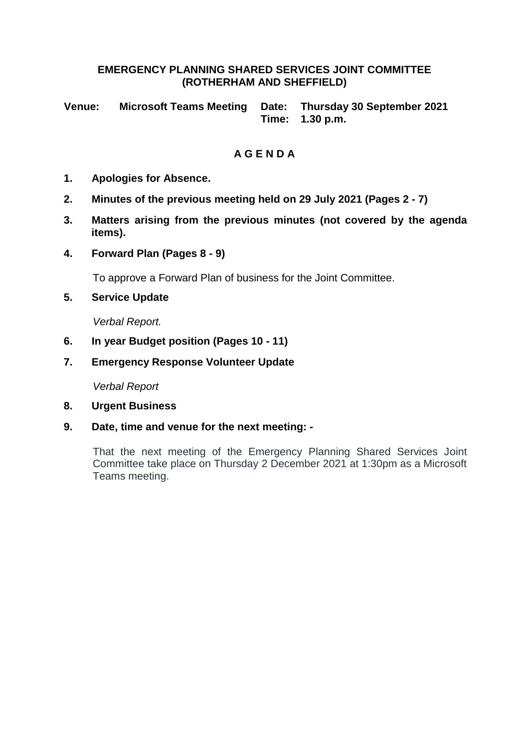# **EMERGENCY PLANNING SHARED SERVICES JOINT COMMITTEE (ROTHERHAM AND SHEFFIELD)**

**Venue: Microsoft Teams Meeting Date: Thursday 30 September 2021 Time: 1.30 p.m.**

# **A G E N D A**

- **1. Apologies for Absence.**
- **2. Minutes of the previous meeting held on 29 July 2021 (Pages 2 - 7)**
- **3. Matters arising from the previous minutes (not covered by the agenda items).**
- **4. Forward Plan (Pages 8 - 9)**

To approve a Forward Plan of business for the Joint Committee.

**5. Service Update**

*Verbal Report.*

- **6. In year Budget position (Pages 10 - 11)**
- **7. Emergency Response Volunteer Update**

*Verbal Report*

- **8. Urgent Business**
- **9. Date, time and venue for the next meeting: -**

That the next meeting of the Emergency Planning Shared Services Joint Committee take place on Thursday 2 December 2021 at 1:30pm as a Microsoft Teams meeting.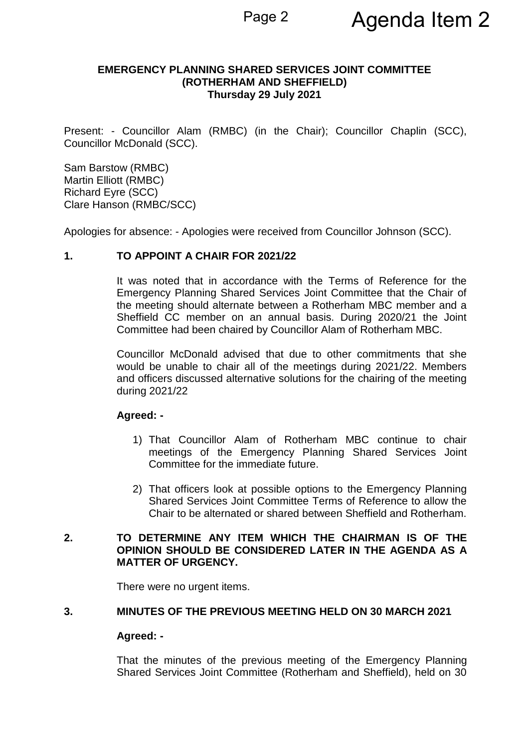## **EMERGENCY PLANNING SHARED SERVICES JOINT COMMITTEE (ROTHERHAM AND SHEFFIELD) Thursday 29 July 2021**

Present: - Councillor Alam (RMBC) (in the Chair); Councillor Chaplin (SCC), Councillor McDonald (SCC).

Sam Barstow (RMBC) Martin Elliott (RMBC) Richard Eyre (SCC) Clare Hanson (RMBC/SCC)

Apologies for absence: - Apologies were received from Councillor Johnson (SCC).

# **1. TO APPOINT A CHAIR FOR 2021/22**

It was noted that in accordance with the Terms of Reference for the Emergency Planning Shared Services Joint Committee that the Chair of the meeting should alternate between a Rotherham MBC member and a Sheffield CC member on an annual basis. During 2020/21 the Joint Committee had been chaired by Councillor Alam of Rotherham MBC.

Councillor McDonald advised that due to other commitments that she would be unable to chair all of the meetings during 2021/22. Members and officers discussed alternative solutions for the chairing of the meeting during 2021/22

# **Agreed: -**

- 1) That Councillor Alam of Rotherham MBC continue to chair meetings of the Emergency Planning Shared Services Joint Committee for the immediate future.
- 2) That officers look at possible options to the Emergency Planning Shared Services Joint Committee Terms of Reference to allow the Chair to be alternated or shared between Sheffield and Rotherham.

# **2. TO DETERMINE ANY ITEM WHICH THE CHAIRMAN IS OF THE OPINION SHOULD BE CONSIDERED LATER IN THE AGENDA AS A MATTER OF URGENCY.**

There were no urgent items.

#### **3. MINUTES OF THE PREVIOUS MEETING HELD ON 30 MARCH 2021**

#### **Agreed: -**

That the minutes of the previous meeting of the Emergency Planning Shared Services Joint Committee (Rotherham and Sheffield), held on 30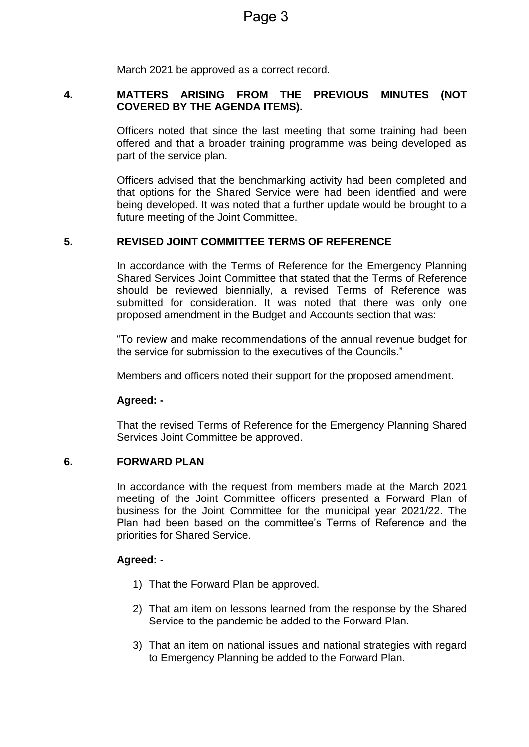March 2021 be approved as a correct record.

# **4. MATTERS ARISING FROM THE PREVIOUS MINUTES (NOT COVERED BY THE AGENDA ITEMS).**

Officers noted that since the last meeting that some training had been offered and that a broader training programme was being developed as part of the service plan.

Officers advised that the benchmarking activity had been completed and that options for the Shared Service were had been identfied and were being developed. It was noted that a further update would be brought to a future meeting of the Joint Committee.

# **5. REVISED JOINT COMMITTEE TERMS OF REFERENCE**

In accordance with the Terms of Reference for the Emergency Planning Shared Services Joint Committee that stated that the Terms of Reference should be reviewed biennially, a revised Terms of Reference was submitted for consideration. It was noted that there was only one proposed amendment in the Budget and Accounts section that was:

"To review and make recommendations of the annual revenue budget for the service for submission to the executives of the Councils."

Members and officers noted their support for the proposed amendment.

# **Agreed: -**

That the revised Terms of Reference for the Emergency Planning Shared Services Joint Committee be approved.

#### **6. FORWARD PLAN**

In accordance with the request from members made at the March 2021 meeting of the Joint Committee officers presented a Forward Plan of business for the Joint Committee for the municipal year 2021/22. The Plan had been based on the committee's Terms of Reference and the priorities for Shared Service.

# **Agreed: -**

- 1) That the Forward Plan be approved.
- 2) That am item on lessons learned from the response by the Shared Service to the pandemic be added to the Forward Plan.
- 3) That an item on national issues and national strategies with regard to Emergency Planning be added to the Forward Plan.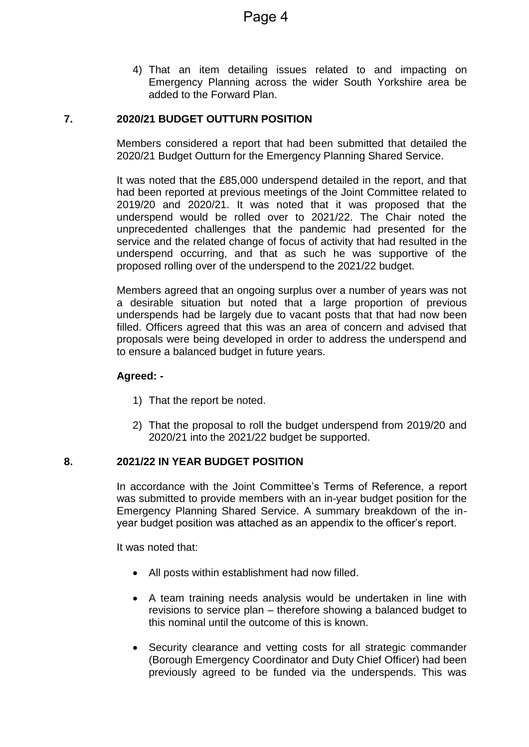4) That an item detailing issues related to and impacting on Emergency Planning across the wider South Yorkshire area be added to the Forward Plan.

# **7. 2020/21 BUDGET OUTTURN POSITION**

Members considered a report that had been submitted that detailed the 2020/21 Budget Outturn for the Emergency Planning Shared Service.

It was noted that the £85,000 underspend detailed in the report, and that had been reported at previous meetings of the Joint Committee related to 2019/20 and 2020/21. It was noted that it was proposed that the underspend would be rolled over to 2021/22. The Chair noted the unprecedented challenges that the pandemic had presented for the service and the related change of focus of activity that had resulted in the underspend occurring, and that as such he was supportive of the proposed rolling over of the underspend to the 2021/22 budget.

Members agreed that an ongoing surplus over a number of years was not a desirable situation but noted that a large proportion of previous underspends had be largely due to vacant posts that that had now been filled. Officers agreed that this was an area of concern and advised that proposals were being developed in order to address the underspend and to ensure a balanced budget in future years.

#### **Agreed: -**

- 1) That the report be noted.
- 2) That the proposal to roll the budget underspend from 2019/20 and 2020/21 into the 2021/22 budget be supported.

# **8. 2021/22 IN YEAR BUDGET POSITION**

In accordance with the Joint Committee's Terms of Reference, a report was submitted to provide members with an in-year budget position for the Emergency Planning Shared Service. A summary breakdown of the inyear budget position was attached as an appendix to the officer's report.

It was noted that:

- All posts within establishment had now filled.
- A team training needs analysis would be undertaken in line with revisions to service plan – therefore showing a balanced budget to this nominal until the outcome of this is known.
- Security clearance and vetting costs for all strategic commander (Borough Emergency Coordinator and Duty Chief Officer) had been previously agreed to be funded via the underspends. This was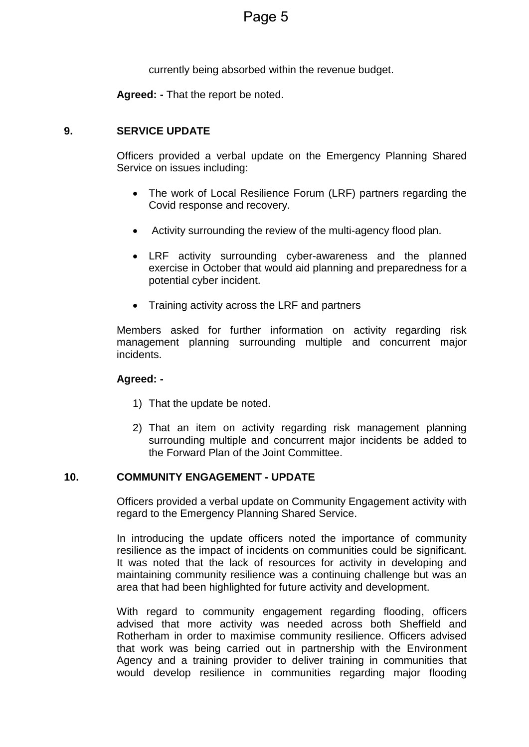currently being absorbed within the revenue budget.

**Agreed: -** That the report be noted.

# **9. SERVICE UPDATE**

Officers provided a verbal update on the Emergency Planning Shared Service on issues including:

- The work of Local Resilience Forum (LRF) partners regarding the Covid response and recovery.
- Activity surrounding the review of the multi-agency flood plan.
- LRF activity surrounding cyber-awareness and the planned exercise in October that would aid planning and preparedness for a potential cyber incident.
- Training activity across the LRF and partners

Members asked for further information on activity regarding risk management planning surrounding multiple and concurrent major incidents.

# **Agreed: -**

- 1) That the update be noted.
- 2) That an item on activity regarding risk management planning surrounding multiple and concurrent major incidents be added to the Forward Plan of the Joint Committee.

# **10. COMMUNITY ENGAGEMENT - UPDATE**

Officers provided a verbal update on Community Engagement activity with regard to the Emergency Planning Shared Service.

In introducing the update officers noted the importance of community resilience as the impact of incidents on communities could be significant. It was noted that the lack of resources for activity in developing and maintaining community resilience was a continuing challenge but was an area that had been highlighted for future activity and development.

With regard to community engagement regarding flooding, officers advised that more activity was needed across both Sheffield and Rotherham in order to maximise community resilience. Officers advised that work was being carried out in partnership with the Environment Agency and a training provider to deliver training in communities that would develop resilience in communities regarding major flooding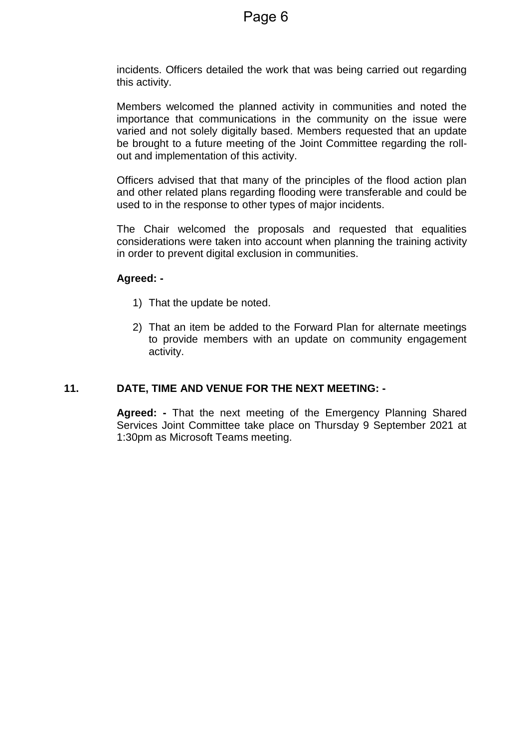incidents. Officers detailed the work that was being carried out regarding this activity.

Members welcomed the planned activity in communities and noted the importance that communications in the community on the issue were varied and not solely digitally based. Members requested that an update be brought to a future meeting of the Joint Committee regarding the rollout and implementation of this activity.

Officers advised that that many of the principles of the flood action plan and other related plans regarding flooding were transferable and could be used to in the response to other types of major incidents.

The Chair welcomed the proposals and requested that equalities considerations were taken into account when planning the training activity in order to prevent digital exclusion in communities.

# **Agreed: -**

- 1) That the update be noted.
- 2) That an item be added to the Forward Plan for alternate meetings to provide members with an update on community engagement activity.

# **11. DATE, TIME AND VENUE FOR THE NEXT MEETING: -**

**Agreed: -** That the next meeting of the Emergency Planning Shared Services Joint Committee take place on Thursday 9 September 2021 at 1:30pm as Microsoft Teams meeting.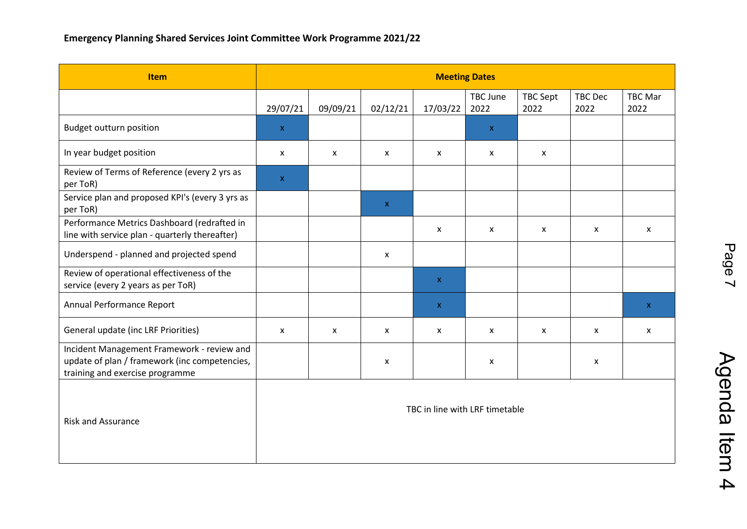| <b>Item</b>                                                                                                                    | <b>Meeting Dates</b>           |                           |                           |              |                         |                           |                           |                        |
|--------------------------------------------------------------------------------------------------------------------------------|--------------------------------|---------------------------|---------------------------|--------------|-------------------------|---------------------------|---------------------------|------------------------|
|                                                                                                                                | 29/07/21                       | 09/09/21                  | 02/12/21                  | 17/03/22     | <b>TBC June</b><br>2022 | <b>TBC Sept</b><br>2022   | <b>TBC Dec</b><br>2022    | <b>TBC Mar</b><br>2022 |
| <b>Budget outturn position</b>                                                                                                 | $\mathsf X$                    |                           |                           |              | $\mathbf x$             |                           |                           |                        |
| In year budget position                                                                                                        | X                              | $\boldsymbol{\mathsf{x}}$ | X                         | X            | X                       | $\boldsymbol{\mathsf{x}}$ |                           |                        |
| Review of Terms of Reference (every 2 yrs as<br>per ToR)                                                                       | $\mathsf X$                    |                           |                           |              |                         |                           |                           |                        |
| Service plan and proposed KPI's (every 3 yrs as<br>per ToR)                                                                    |                                |                           | $\boldsymbol{\mathsf{X}}$ |              |                         |                           |                           |                        |
| Performance Metrics Dashboard (redrafted in<br>line with service plan - quarterly thereafter)                                  |                                |                           |                           | X            | $\mathsf{x}$            | $\mathsf{x}$              | $\mathsf{x}$              | X                      |
| Underspend - planned and projected spend                                                                                       |                                |                           | $\boldsymbol{\mathsf{x}}$ |              |                         |                           |                           |                        |
| Review of operational effectiveness of the<br>service (every 2 years as per ToR)                                               |                                |                           |                           | $\mathsf X$  |                         |                           |                           |                        |
| Annual Performance Report                                                                                                      |                                |                           |                           | $\mathbf{X}$ |                         |                           |                           | $\mathbf X$            |
| General update (inc LRF Priorities)                                                                                            | X                              | X                         | $\mathsf{x}$              | X            | X                       | $\mathsf{x}$              | $\boldsymbol{\mathsf{x}}$ | X                      |
| Incident Management Framework - review and<br>update of plan / framework (inc competencies,<br>training and exercise programme |                                |                           | X                         |              | X                       |                           | X                         |                        |
| <b>Risk and Assurance</b>                                                                                                      | TBC in line with LRF timetable |                           |                           |              |                         |                           |                           |                        |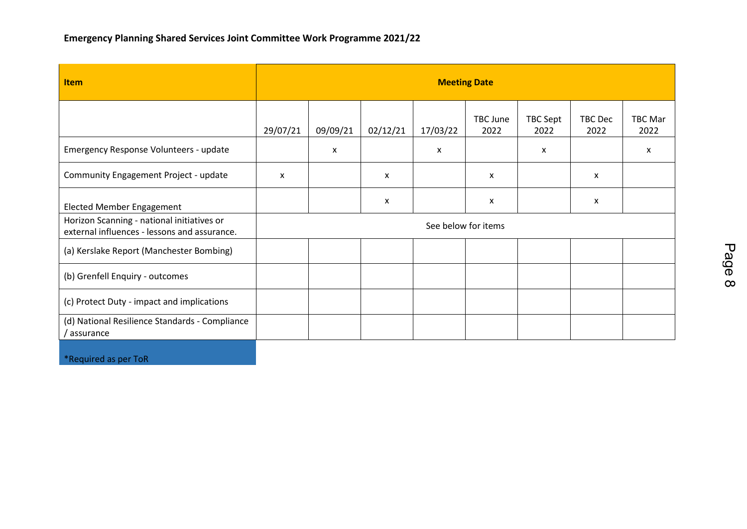| <b>Item</b>                                                                                | <b>Meeting Date</b> |                           |          |          |                           |                  |                           |                        |
|--------------------------------------------------------------------------------------------|---------------------|---------------------------|----------|----------|---------------------------|------------------|---------------------------|------------------------|
|                                                                                            | 29/07/21            | 09/09/21                  | 02/12/21 | 17/03/22 | TBC June<br>2022          | TBC Sept<br>2022 | TBC Dec<br>2022           | <b>TBC Mar</b><br>2022 |
| Emergency Response Volunteers - update                                                     |                     | $\boldsymbol{\mathsf{x}}$ |          | X        |                           | X                |                           | x                      |
| Community Engagement Project - update                                                      | $\mathsf{x}$        |                           | X        |          | X                         |                  | X                         |                        |
| <b>Elected Member Engagement</b>                                                           |                     |                           | x        |          | $\boldsymbol{\mathsf{x}}$ |                  | $\boldsymbol{\mathsf{x}}$ |                        |
| Horizon Scanning - national initiatives or<br>external influences - lessons and assurance. | See below for items |                           |          |          |                           |                  |                           |                        |
| (a) Kerslake Report (Manchester Bombing)                                                   |                     |                           |          |          |                           |                  |                           |                        |
| (b) Grenfell Enquiry - outcomes                                                            |                     |                           |          |          |                           |                  |                           |                        |
| (c) Protect Duty - impact and implications                                                 |                     |                           |          |          |                           |                  |                           |                        |
| (d) National Resilience Standards - Compliance<br>' assurance                              |                     |                           |          |          |                           |                  |                           |                        |
|                                                                                            |                     |                           |          |          |                           |                  |                           |                        |

\*Required as per ToR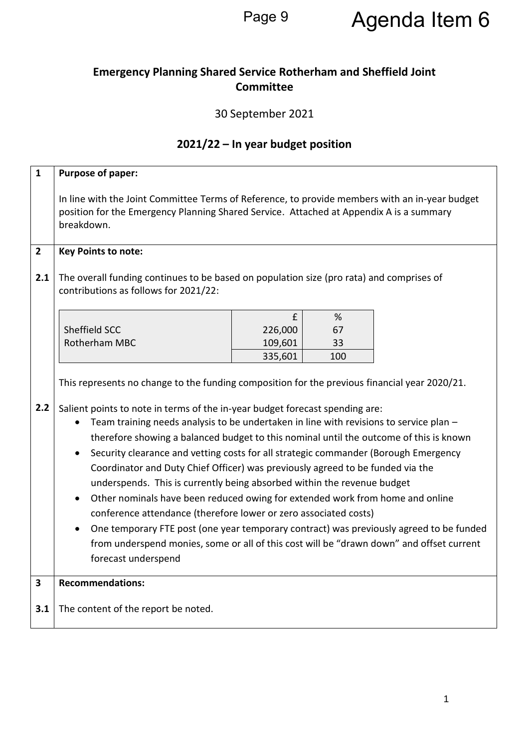# Page 9 Agenda Item 6

# **Emergency Planning Shared Service Rotherham and Sheffield Joint Committee**

# 30 September 2021

# **2021/22 – In year budget position**

| $\mathbf{1}$   | Purpose of paper:                                                                                                                                                                                       |         |     |  |  |  |  |  |
|----------------|---------------------------------------------------------------------------------------------------------------------------------------------------------------------------------------------------------|---------|-----|--|--|--|--|--|
|                | In line with the Joint Committee Terms of Reference, to provide members with an in-year budget<br>position for the Emergency Planning Shared Service. Attached at Appendix A is a summary<br>breakdown. |         |     |  |  |  |  |  |
| $\overline{2}$ | <b>Key Points to note:</b>                                                                                                                                                                              |         |     |  |  |  |  |  |
| 2.1            | The overall funding continues to be based on population size (pro rata) and comprises of<br>contributions as follows for 2021/22:                                                                       |         |     |  |  |  |  |  |
|                |                                                                                                                                                                                                         | £       | %   |  |  |  |  |  |
|                | Sheffield SCC                                                                                                                                                                                           | 226,000 | 67  |  |  |  |  |  |
|                | Rotherham MBC                                                                                                                                                                                           | 109,601 | 33  |  |  |  |  |  |
|                |                                                                                                                                                                                                         | 335,601 | 100 |  |  |  |  |  |
|                | This represents no change to the funding composition for the previous financial year 2020/21.                                                                                                           |         |     |  |  |  |  |  |
| 2.2            | Salient points to note in terms of the in-year budget forecast spending are:                                                                                                                            |         |     |  |  |  |  |  |
|                | Team training needs analysis to be undertaken in line with revisions to service plan -                                                                                                                  |         |     |  |  |  |  |  |
|                | therefore showing a balanced budget to this nominal until the outcome of this is known                                                                                                                  |         |     |  |  |  |  |  |
|                | Security clearance and vetting costs for all strategic commander (Borough Emergency<br>$\bullet$                                                                                                        |         |     |  |  |  |  |  |
|                | Coordinator and Duty Chief Officer) was previously agreed to be funded via the                                                                                                                          |         |     |  |  |  |  |  |
|                | underspends. This is currently being absorbed within the revenue budget                                                                                                                                 |         |     |  |  |  |  |  |
|                | Other nominals have been reduced owing for extended work from home and online<br>$\bullet$                                                                                                              |         |     |  |  |  |  |  |
|                | conference attendance (therefore lower or zero associated costs)                                                                                                                                        |         |     |  |  |  |  |  |
|                | One temporary FTE post (one year temporary contract) was previously agreed to be funded<br>$\bullet$                                                                                                    |         |     |  |  |  |  |  |
|                | from underspend monies, some or all of this cost will be "drawn down" and offset current                                                                                                                |         |     |  |  |  |  |  |
|                | forecast underspend                                                                                                                                                                                     |         |     |  |  |  |  |  |
| $\mathbf{3}$   | <b>Recommendations:</b>                                                                                                                                                                                 |         |     |  |  |  |  |  |
|                |                                                                                                                                                                                                         |         |     |  |  |  |  |  |
| 3.1            | The content of the report be noted.                                                                                                                                                                     |         |     |  |  |  |  |  |
|                |                                                                                                                                                                                                         |         |     |  |  |  |  |  |